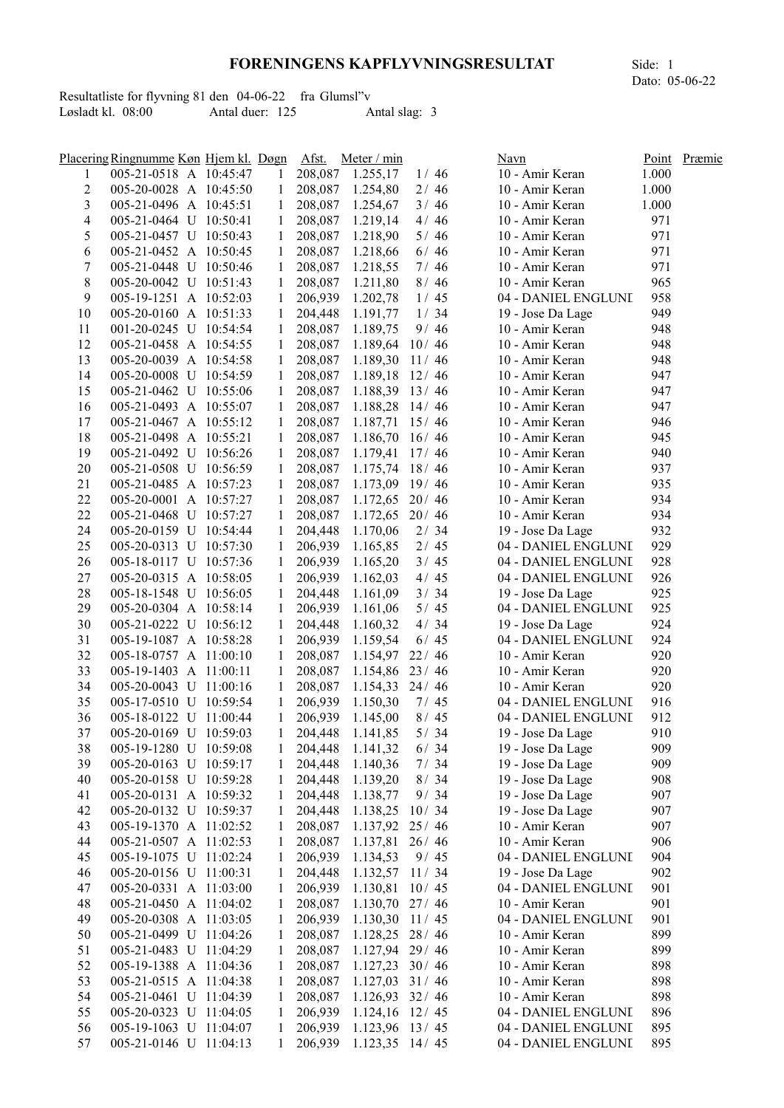## FORENINGENS KAPFLYVNINGSRESULTAT Side: 1

|                   | Resultatliste for flyvning 81 den 04-06-22 fra Glumsl"v |                 |               |  |
|-------------------|---------------------------------------------------------|-----------------|---------------|--|
| Løsladt kl. 08:00 |                                                         | Antal duer: 125 | Antal slag: 3 |  |

|                | Placering Ringnumme Køn Hjem kl. Døgn |              | Afst.   | Meter / min        |        | Navn                | Point | Præmie |
|----------------|---------------------------------------|--------------|---------|--------------------|--------|---------------------|-------|--------|
| 1              | 005-21-0518 A 10:45:47                | 1            |         | 208,087 1.255,17   | 1/46   | 10 - Amir Keran     | 1.000 |        |
| 2              | 005-20-0028 A 10:45:50                | 1            |         | 208,087 1.254,80   | 2/46   | 10 - Amir Keran     | 1.000 |        |
| 3              | 005-21-0496 A 10:45:51                | 1            |         | 208,087 1.254,67   | 3/46   | 10 - Amir Keran     | 1.000 |        |
| $\overline{4}$ | 005-21-0464 U 10:50:41                | $\mathbf{1}$ |         | 208,087 1.219,14   | 4/46   | 10 - Amir Keran     | 971   |        |
| 5              | 005-21-0457 U 10:50:43                | $\mathbf{1}$ |         | 208,087 1.218,90   | $5/46$ | 10 - Amir Keran     | 971   |        |
| 6              | 005-21-0452 A 10:50:45                | $\mathbf{1}$ |         | 208,087 1.218,66   | $6/46$ | 10 - Amir Keran     | 971   |        |
| 7              | 005-21-0448 U 10:50:46                | $\mathbf{1}$ |         | 208,087 1.218,55   | 7/46   | 10 - Amir Keran     | 971   |        |
| 8              | 005-20-0042 U 10:51:43                | $\mathbf{1}$ | 208,087 | 1.211,80           | 8/46   | 10 - Amir Keran     | 965   |        |
| 9              | 005-19-1251 A 10:52:03                | $\mathbf{1}$ |         | 206,939 1.202,78   | 1/45   | 04 - DANIEL ENGLUNI | 958   |        |
| 10             | 005-20-0160 A 10:51:33                | $\mathbf{1}$ | 204,448 | 1.191,77           | 1/34   | 19 - Jose Da Lage   | 949   |        |
| 11             | 001-20-0245 U 10:54:54                | $\mathbf{1}$ | 208,087 | 1.189,75           | 9/46   | 10 - Amir Keran     | 948   |        |
| 12             | 005-21-0458 A 10:54:55                | $\mathbf{1}$ | 208,087 | 1.189,64 10/46     |        | 10 - Amir Keran     | 948   |        |
| 13             | 005-20-0039 A 10:54:58                | $\mathbf{1}$ | 208,087 | $1.189,30$ 11/46   |        | 10 - Amir Keran     | 948   |        |
| 14             | 005-20-0008 U 10:54:59                | $\mathbf{1}$ | 208,087 | $1.189,18$ 12/46   |        | 10 - Amir Keran     | 947   |        |
| 15             | 005-21-0462 U 10:55:06                | $\mathbf{1}$ | 208,087 | 1.188,39 13/46     |        | 10 - Amir Keran     | 947   |        |
| 16             | 005-21-0493 A 10:55:07                | $\mathbf{1}$ | 208,087 | $1.188,28$ 14/46   |        | 10 - Amir Keran     | 947   |        |
| 17             | 005-21-0467 A 10:55:12                | $\mathbf{1}$ | 208,087 | $1.187,71$ 15/46   |        | 10 - Amir Keran     | 946   |        |
| 18             | 005-21-0498 A 10:55:21                | $\mathbf{1}$ | 208,087 | $1.186,70$ 16/46   |        | 10 - Amir Keran     | 945   |        |
| 19             | 005-21-0492 U 10:56:26                | $\mathbf{1}$ | 208,087 | 1.179,41 17/46     |        | 10 - Amir Keran     | 940   |        |
| 20             | 005-21-0508 U 10:56:59                | $\mathbf{1}$ | 208,087 | $1.175,74$ 18 / 46 |        | 10 - Amir Keran     | 937   |        |
| 21             | 005-21-0485 A 10:57:23                | $\mathbf{1}$ | 208,087 | 1.173,09 19/46     |        | 10 - Amir Keran     | 935   |        |
| 22             | 005-20-0001 A 10:57:27                | $\mathbf{1}$ | 208,087 | $1.172,65$ 20/46   |        | 10 - Amir Keran     | 934   |        |
|                |                                       |              |         |                    |        |                     |       |        |
| 22             | 005-21-0468 U 10:57:27                | $\mathbf{1}$ | 208,087 | $1.172,65$ 20/46   |        | 10 - Amir Keran     | 934   |        |
| 24             | 005-20-0159 U 10:54:44                | $\mathbf{1}$ | 204,448 | 1.170,06           | 2/34   | 19 - Jose Da Lage   | 932   |        |
| 25             | 005-20-0313 U 10:57:30                | 1            | 206,939 | 1.165,85           | 2/45   | 04 - DANIEL ENGLUNI | 929   |        |
| 26             | 005-18-0117 U 10:57:36                | 1            | 206,939 | 1.165,20           | 3/45   | 04 - DANIEL ENGLUNI | 928   |        |
| 27             | 005-20-0315 A 10:58:05                | 1            | 206,939 | 1.162,03           | 4/45   | 04 - DANIEL ENGLUNI | 926   |        |
| 28             | 005-18-1548 U 10:56:05                | 1            | 204,448 | 1.161,09           | 3/34   | 19 - Jose Da Lage   | 925   |        |
| 29             | 005-20-0304 A 10:58:14                | 1            | 206,939 | 1.161,06           | $5/45$ | 04 - DANIEL ENGLUNI | 925   |        |
| 30             | 005-21-0222 U 10:56:12                | 1            | 204,448 | 1.160,32           | 4/34   | 19 - Jose Da Lage   | 924   |        |
| 31             | 005-19-1087 A 10:58:28                | 1            | 206,939 | 1.159,54           | 6/45   | 04 - DANIEL ENGLUNI | 924   |        |
| 32             | 005-18-0757 A 11:00:10                | 1            | 208,087 | 1.154,97 22/46     |        | 10 - Amir Keran     | 920   |        |
| 33             | 005-19-1403 A 11:00:11                | 1            | 208,087 | 1.154,86 23/46     |        | 10 - Amir Keran     | 920   |        |
| 34             | 005-20-0043 U 11:00:16                | $\mathbf{1}$ | 208,087 | $1.154,33$ 24/46   |        | 10 - Amir Keran     | 920   |        |
| 35             | 005-17-0510 U 10:59:54                | 1            | 206,939 | 1.150,30           | 7/45   | 04 - DANIEL ENGLUNI | 916   |        |
| 36             | 005-18-0122 U 11:00:44                | $\mathbf{1}$ | 206,939 | 1.145,00           | 8/45   | 04 - DANIEL ENGLUNI | 912   |        |
| 37             | 005-20-0169 U 10:59:03                | 1            | 204,448 | 1.141,85           | 5/34   | 19 - Jose Da Lage   | 910   |        |
| 38             | 005-19-1280 U 10:59:08                | 1            | 204,448 | 1.141,32           | 6/34   | 19 - Jose Da Lage   | 909   |        |
| 39             | 005-20-0163 U 10:59:17                | $\mathbf{1}$ | 204,448 | 1.140,36           | 7/34   | 19 - Jose Da Lage   | 909   |        |
| 40             | 005-20-0158 U 10:59:28                | $\mathbf{1}$ | 204,448 | 1.139,20           | 8/34   | 19 - Jose Da Lage   | 908   |        |
| 41             | 005-20-0131 A 10:59:32                | $\mathbf{1}$ | 204,448 | 1.138,77           | 9/34   | 19 - Jose Da Lage   | 907   |        |
| 42             | 005-20-0132 U 10:59:37                | 1            | 204,448 | 1.138,25 10/34     |        | 19 - Jose Da Lage   | 907   |        |
| 43             | 005-19-1370 A 11:02:52                | 1            | 208,087 | 1.137,92 25/46     |        | 10 - Amir Keran     | 907   |        |
| 44             | 005-21-0507 A 11:02:53                | 1            | 208,087 | 1.137,81 26/46     |        | 10 - Amir Keran     | 906   |        |
| 45             | 005-19-1075 U 11:02:24                | $\mathbf{1}$ | 206,939 | 1.134,53           | 9/45   | 04 - DANIEL ENGLUNI | 904   |        |
| 46             | 005-20-0156 U 11:00:31                | $\mathbf{1}$ | 204,448 | $1.132,57$ 11/34   |        | 19 - Jose Da Lage   | 902   |        |
| 47             | 005-20-0331 A 11:03:00                | $\mathbf{1}$ | 206,939 | 1.130,81 10/45     |        | 04 - DANIEL ENGLUNI | 901   |        |
| 48             | 005-21-0450 A 11:04:02                | 1            | 208,087 | $1.130,70$ 27/46   |        | 10 - Amir Keran     | 901   |        |
| 49             | 005-20-0308 A 11:03:05                | $\mathbf{1}$ | 206,939 | $1.130,30$ 11 / 45 |        | 04 - DANIEL ENGLUNI | 901   |        |
| 50             | 005-21-0499 U 11:04:26                | 1            | 208,087 | $1.128,25$ 28/46   |        | 10 - Amir Keran     | 899   |        |
| 51             | 005-21-0483 U 11:04:29                | 1            | 208,087 | 1.127,94 29/46     |        | 10 - Amir Keran     | 899   |        |
| 52             | 005-19-1388 A 11:04:36                | 1            | 208,087 | $1.127,23$ 30/46   |        | 10 - Amir Keran     | 898   |        |
|                | 005-21-0515 A 11:04:38                |              | 208,087 | $1.127,03$ 31/46   |        | 10 - Amir Keran     | 898   |        |
| 53             |                                       | 1            |         |                    |        |                     |       |        |
| 54             | 005-21-0461 U 11:04:39                | 1            | 208,087 | $1.126,93$ 32/46   |        | 10 - Amir Keran     | 898   |        |
| 55             | 005-20-0323 U 11:04:05                | 1            | 206,939 | $1.124, 16$ 12/45  |        | 04 - DANIEL ENGLUNI | 896   |        |
| 56             | 005-19-1063 U 11:04:07                | 1            | 206,939 | 1.123,96 13/45     |        | 04 - DANIEL ENGLUNI | 895   |        |
| 57             | 005-21-0146 U 11:04:13                | $\mathbf{1}$ | 206,939 | $1.123,35$ 14/45   |        | 04 - DANIEL ENGLUNI | 895   |        |

Dato: 05-06-22